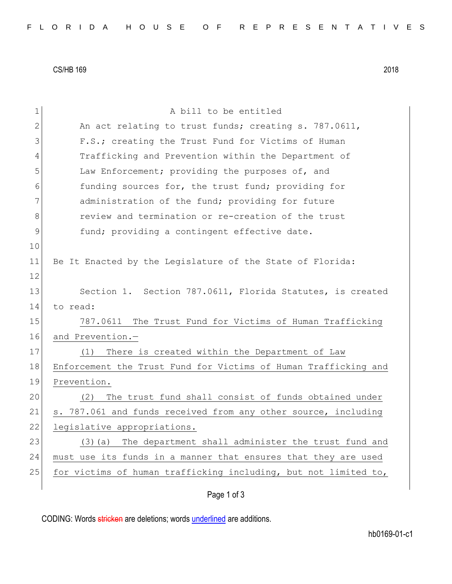CS/HB 169 2018

| $\mathbf 1$   | A bill to be entitled                                           |
|---------------|-----------------------------------------------------------------|
| 2             | An act relating to trust funds; creating s. 787.0611,           |
| 3             | F.S.; creating the Trust Fund for Victims of Human              |
| 4             | Trafficking and Prevention within the Department of             |
| 5             | Law Enforcement; providing the purposes of, and                 |
| 6             | funding sources for, the trust fund; providing for              |
| 7             | administration of the fund; providing for future                |
| 8             | review and termination or re-creation of the trust              |
| $\mathcal{G}$ | fund; providing a contingent effective date.                    |
| 10            |                                                                 |
| 11            | Be It Enacted by the Legislature of the State of Florida:       |
| 12            |                                                                 |
| 13            | Section 1. Section 787.0611, Florida Statutes, is created       |
| 14            | to read:                                                        |
| 15            | 787.0611 The Trust Fund for Victims of Human Trafficking        |
| 16            | and Prevention.-                                                |
| 17            | There is created within the Department of Law<br>(1)            |
| 18            | Enforcement the Trust Fund for Victims of Human Trafficking and |
| 19            | Prevention.                                                     |
| 20            | The trust fund shall consist of funds obtained under<br>(2)     |
| 21            | s. 787.061 and funds received from any other source, including  |
| 22            | legislative appropriations.                                     |
| 23            | The department shall administer the trust fund and<br>$(3)$ (a) |
| 24            | must use its funds in a manner that ensures that they are used  |
| 25            | for victims of human trafficking including, but not limited to, |
|               | Page 1 of 3                                                     |

CODING: Words stricken are deletions; words underlined are additions.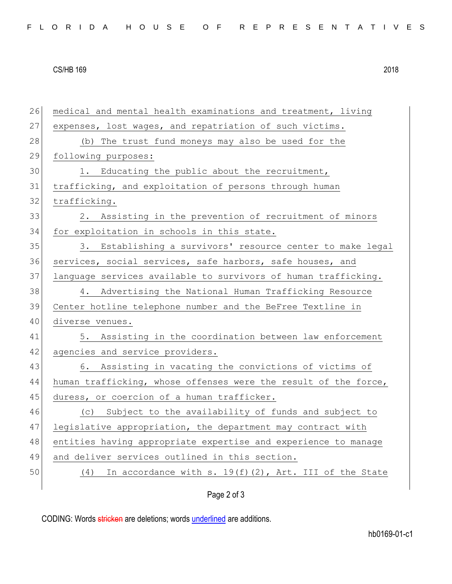## CS/HB 169 2018

26 medical and mental health examinations and treatment, living 27 expenses, lost wages, and repatriation of such victims. 28 (b) The trust fund moneys may also be used for the 29 following purposes: 30 1. Educating the public about the recruitment, 31 trafficking, and exploitation of persons through human 32 trafficking. 33 2. Assisting in the prevention of recruitment of minors 34 for exploitation in schools in this state. 35 3. Establishing a survivors' resource center to make legal 36 services, social services, safe harbors, safe houses, and 37 language services available to survivors of human trafficking. 38 4. Advertising the National Human Trafficking Resource 39 Center hotline telephone number and the BeFree Textline in 40 diverse venues. 41 5. Assisting in the coordination between law enforcement 42 agencies and service providers. 43 6. Assisting in vacating the convictions of victims of 44 human trafficking, whose offenses were the result of the force, 45 duress, or coercion of a human trafficker. 46 (c) Subject to the availability of funds and subject to 47 legislative appropriation, the department may contract with 48 entities having appropriate expertise and experience to manage 49 and deliver services outlined in this section. 50  $(4)$  In accordance with s. 19(f)(2), Art. III of the State

## Page 2 of 3

CODING: Words stricken are deletions; words underlined are additions.